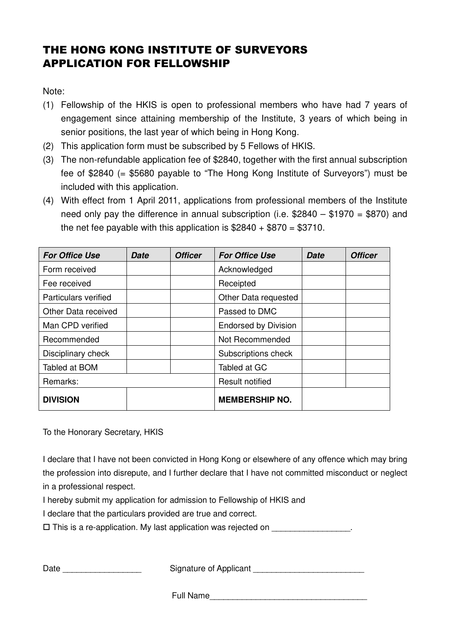## THE HONG KONG INSTITUTE OF SURVEYORS APPLICATION FOR FELLOWSHIP

Note:

- (1) Fellowship of the HKIS is open to professional members who have had 7 years of engagement since attaining membership of the Institute, 3 years of which being in senior positions, the last year of which being in Hong Kong.
- (2) This application form must be subscribed by 5 Fellows of HKIS.
- (3) The non-refundable application fee of \$2840, together with the first annual subscription fee of \$2840 (= \$5680 payable to "The Hong Kong Institute of Surveyors") must be included with this application.
- (4) With effect from 1 April 2011, applications from professional members of the Institute need only pay the difference in annual subscription (i.e.  $$2840 - $1970 = $870$ ) and the net fee payable with this application is  $$2840 + $870 = $3710$ .

| <b>For Office Use</b>       | Date | <b>Officer</b> | <b>For Office Use</b>       | <b>Date</b> | <b>Officer</b> |
|-----------------------------|------|----------------|-----------------------------|-------------|----------------|
| Form received               |      |                | Acknowledged                |             |                |
| Fee received                |      |                | Receipted                   |             |                |
| <b>Particulars verified</b> |      |                | Other Data requested        |             |                |
| Other Data received         |      |                | Passed to DMC               |             |                |
| Man CPD verified            |      |                | <b>Endorsed by Division</b> |             |                |
| Recommended                 |      |                | Not Recommended             |             |                |
| Disciplinary check          |      |                | Subscriptions check         |             |                |
| Tabled at BOM               |      |                | Tabled at GC                |             |                |
| Remarks:                    |      |                | <b>Result notified</b>      |             |                |
| <b>DIVISION</b>             |      |                | <b>MEMBERSHIP NO.</b>       |             |                |

To the Honorary Secretary, HKIS

I declare that I have not been convicted in Hong Kong or elsewhere of any offence which may bring the profession into disrepute, and I further declare that I have not committed misconduct or neglect in a professional respect.

I hereby submit my application for admission to Fellowship of HKIS and

I declare that the particulars provided are true and correct.

 $\square$  This is a re-application. My last application was rejected on  $\square$ 

| Date<br>Signature of Applicant |  |
|--------------------------------|--|
|--------------------------------|--|

Full Name\_\_\_\_\_\_\_\_\_\_\_\_\_\_\_\_\_\_\_\_\_\_\_\_\_\_\_\_\_\_\_\_\_\_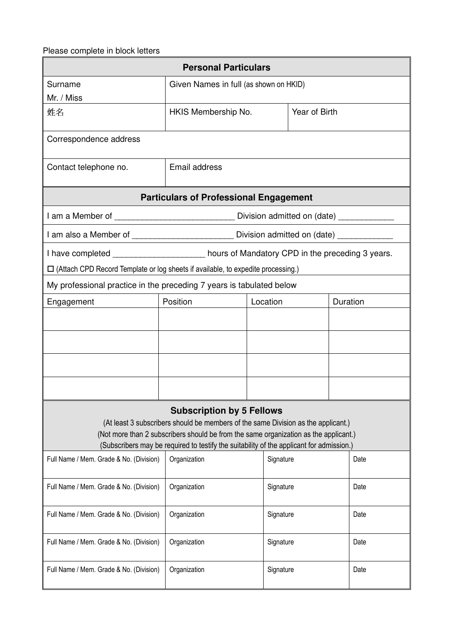## Please complete in block letters

| <b>Personal Particulars</b>                                                                                                                                                                                                                                                                               |                                        |           |               |  |          |  |  |
|-----------------------------------------------------------------------------------------------------------------------------------------------------------------------------------------------------------------------------------------------------------------------------------------------------------|----------------------------------------|-----------|---------------|--|----------|--|--|
| Surname<br>Mr. / Miss                                                                                                                                                                                                                                                                                     | Given Names in full (as shown on HKID) |           |               |  |          |  |  |
| 姓名                                                                                                                                                                                                                                                                                                        | HKIS Membership No.                    |           | Year of Birth |  |          |  |  |
| Correspondence address                                                                                                                                                                                                                                                                                    |                                        |           |               |  |          |  |  |
| Contact telephone no.                                                                                                                                                                                                                                                                                     | Email address                          |           |               |  |          |  |  |
| <b>Particulars of Professional Engagement</b>                                                                                                                                                                                                                                                             |                                        |           |               |  |          |  |  |
| I am a Member of _____________________________Division admitted on (date) __________                                                                                                                                                                                                                      |                                        |           |               |  |          |  |  |
| I am also a Member of __________________________ Division admitted on (date) ____                                                                                                                                                                                                                         |                                        |           |               |  |          |  |  |
| I have completed _____________________ hours of Mandatory CPD in the preceding 3 years.                                                                                                                                                                                                                   |                                        |           |               |  |          |  |  |
| $\Box$ (Attach CPD Record Template or log sheets if available, to expedite processing.)                                                                                                                                                                                                                   |                                        |           |               |  |          |  |  |
| My professional practice in the preceding 7 years is tabulated below                                                                                                                                                                                                                                      |                                        |           |               |  |          |  |  |
| Engagement                                                                                                                                                                                                                                                                                                | Position                               | Location  |               |  | Duration |  |  |
|                                                                                                                                                                                                                                                                                                           |                                        |           |               |  |          |  |  |
|                                                                                                                                                                                                                                                                                                           |                                        |           |               |  |          |  |  |
|                                                                                                                                                                                                                                                                                                           |                                        |           |               |  |          |  |  |
|                                                                                                                                                                                                                                                                                                           |                                        |           |               |  |          |  |  |
| <b>Subscription by 5 Fellows</b><br>(At least 3 subscribers should be members of the same Division as the applicant.)<br>(Not more than 2 subscribers should be from the same organization as the applicant.)<br>(Subscribers may be required to testify the suitability of the applicant for admission.) |                                        |           |               |  |          |  |  |
| Full Name / Mem. Grade & No. (Division)                                                                                                                                                                                                                                                                   | Organization                           | Signature |               |  | Date     |  |  |
| Full Name / Mem. Grade & No. (Division)                                                                                                                                                                                                                                                                   | Organization                           | Signature |               |  | Date     |  |  |
| Full Name / Mem. Grade & No. (Division)                                                                                                                                                                                                                                                                   | Organization                           |           | Signature     |  | Date     |  |  |
| Full Name / Mem. Grade & No. (Division)                                                                                                                                                                                                                                                                   | Organization                           |           | Signature     |  | Date     |  |  |
| Full Name / Mem. Grade & No. (Division)                                                                                                                                                                                                                                                                   | Organization                           |           | Signature     |  | Date     |  |  |